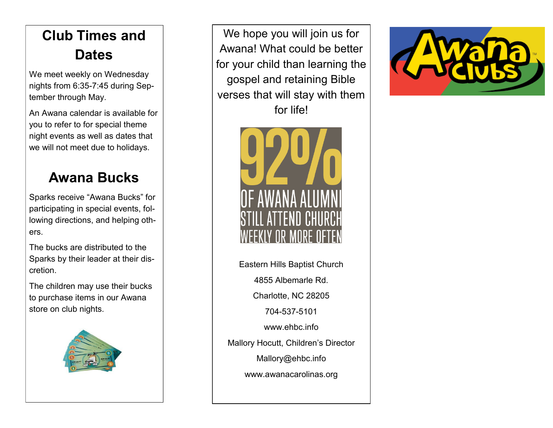## **Club Times and Dates**

We meet weekly on Wednesday nights from 6:35-7:45 during September through May.

An Awana calendar is available for you to refer to for special theme night events as well as dates that we will not meet due to holidays.

#### **Awana Bucks**

Sparks receive "Awana Bucks" for participating in special events, following directions, and helping others.

The bucks are distributed to the Sparks by their leader at their discretion.

The children may use their bucks to purchase items in our Awana store on club nights.



We hope you will join us for Awana! What could be better for your child than learning the gospel and retaining Bible verses that will stay with them for life!



Eastern Hills Baptist Church 4855 Albemarle Rd. Charlotte, NC 28205 704-537-5101 www.ehbc.info Mallory Hocutt, Children's Director Mallory@ehbc.info www.awanacarolinas.org